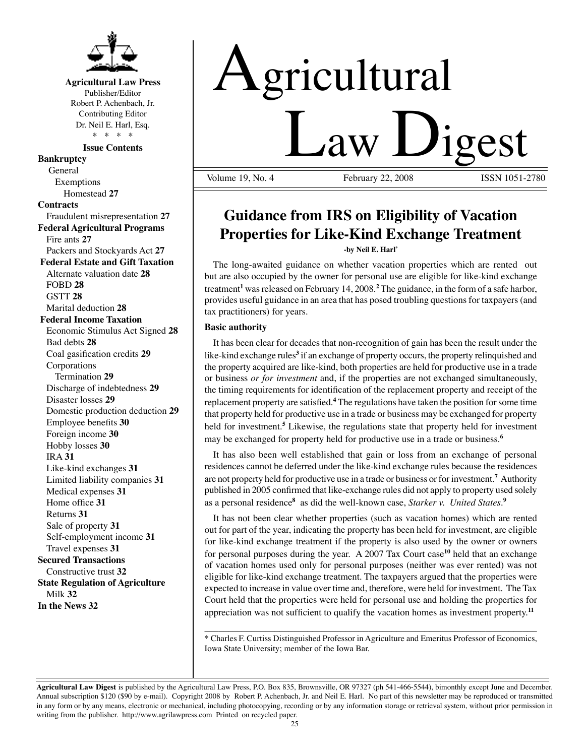

### **Agricultural Law Press**

Publisher/Editor Robert P. Achenbach, Jr. Contributing Editor Dr. Neil E. Harl, Esq. \* \* \* \*

**Issue Contents**

**Bankruptcy** General Exemptions Homestead **27 Contracts** Fraudulent misrepresentation **27 Federal Agricultural Programs** Fire ants **27** Packers and Stockyards Act **27 Federal Estate and Gift Taxation** Alternate valuation date **28** FOBD **28** GSTT **28** Marital deduction **28 Federal Income Taxation** Economic Stimulus Act Signed **28** Bad debts **28** Coal gasification credits **29** Corporations Termination **29** Discharge of indebtedness **29** Disaster losses **29** Domestic production deduction **29** Employee benefits **30** Foreign income **30** Hobby losses **30** IRA **31** Like-kind exchanges **31** Limited liability companies **31** Medical expenses **31** Home office **31** Returns **31** Sale of property **31** Self-employment income **31** Travel expenses **31 Secured Transactions** Constructive trust **32 State Regulation of Agriculture** Milk **32 In the News 32**

# Agricultural **Law Ligest**

February 22, 2008

## **Guidance from IRS on Eligibility of Vacation Properties for Like-Kind Exchange Treatment -by Neil E. Harl\***

The long-awaited guidance on whether vacation properties which are rented out but are also occupied by the owner for personal use are eligible for like-kind exchange treatment**<sup>1</sup>** was released on February 14, 2008.**<sup>2</sup>** The guidance, in the form of a safe harbor, provides useful guidance in an area that has posed troubling questions for taxpayers (and tax practitioners) for years.

#### **Basic authority**

It has been clear for decades that non-recognition of gain has been the result under the like-kind exchange rules<sup>3</sup> if an exchange of property occurs, the property relinquished and the property acquired are like-kind, both properties are held for productive use in a trade or business *or for investment* and, if the properties are not exchanged simultaneously, the timing requirements for identification of the replacement property and receipt of the replacement property are satisfied.<sup>4</sup> The regulations have taken the position for some time that property held for productive use in a trade or business may be exchanged for property held for investment.**<sup>5</sup>** Likewise, the regulations state that property held for investment may be exchanged for property held for productive use in a trade or business.**<sup>6</sup>**

It has also been well established that gain or loss from an exchange of personal residences cannot be deferred under the like-kind exchange rules because the residences are not property held for productive use in a trade or business or for investment.**<sup>7</sup>** Authority published in 2005 confirmed that like-exchange rules did not apply to property used solely as a personal residence<sup>8</sup> as did the well-known case, *Starker v. United States*.<sup>9</sup>

It has not been clear whether properties (such as vacation homes) which are rented out for part of the year, indicating the property has been held for investment, are eligible for like-kind exchange treatment if the property is also used by the owner or owners for personal purposes during the year. A 2007 Tax Court case**<sup>10</sup>** held that an exchange of vacation homes used only for personal purposes (neither was ever rented) was not eligible for like-kind exchange treatment. The taxpayers argued that the properties were expected to increase in value over time and, therefore, were held for investment. The Tax Court held that the properties were held for personal use and holding the properties for appreciation was not sufficient to qualify the vacation homes as investment property.**<sup>11</sup>**

\_\_\_\_\_\_\_\_\_\_\_\_\_\_\_\_\_\_\_\_\_\_\_\_\_\_\_\_\_\_\_\_\_\_\_\_\_\_\_\_\_\_\_\_\_\_\_\_\_\_\_\_\_\_\_\_\_\_\_\_\_\_\_\_\_\_\_\_\_\_\_ \* Charles F. Curtiss Distinguished Professor in Agriculture and Emeritus Professor of Economics, Iowa State University; member of the Iowa Bar.

**Agricultural Law Digest** is published by the Agricultural Law Press, P.O. Box 835, Brownsville, OR 97327 (ph 541-466-5544), bimonthly except June and December. Annual subscription \$120 (\$90 by e-mail). Copyright 2008 by Robert P. Achenbach, Jr. and Neil E. Harl. No part of this newsletter may be reproduced or transmitted in any form or by any means, electronic or mechanical, including photocopying, recording or by any information storage or retrieval system, without prior permission in writing from the publisher. http://www.agrilawpress.com Printed on recycled paper.